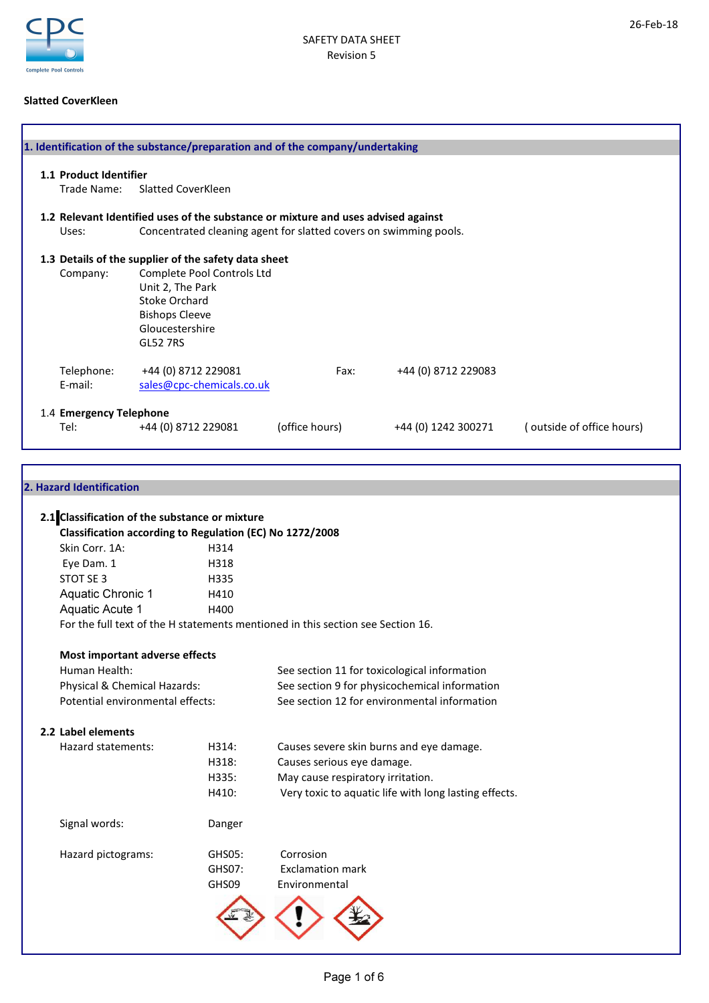

### Slatted CoverKleen

| 1.1 Product Identifier  |                                                                                   |                |                     |                           |
|-------------------------|-----------------------------------------------------------------------------------|----------------|---------------------|---------------------------|
| Trade Name:             | <b>Slatted CoverKleen</b>                                                         |                |                     |                           |
|                         | 1.2 Relevant Identified uses of the substance or mixture and uses advised against |                |                     |                           |
| Uses:                   | Concentrated cleaning agent for slatted covers on swimming pools.                 |                |                     |                           |
|                         | 1.3 Details of the supplier of the safety data sheet                              |                |                     |                           |
| Company:                | Complete Pool Controls Ltd                                                        |                |                     |                           |
|                         | Unit 2, The Park                                                                  |                |                     |                           |
|                         | <b>Stoke Orchard</b>                                                              |                |                     |                           |
|                         | <b>Bishops Cleeve</b>                                                             |                |                     |                           |
|                         | Gloucestershire                                                                   |                |                     |                           |
|                         | <b>GL52 7RS</b>                                                                   |                |                     |                           |
| Telephone:              | +44 (0) 8712 229081                                                               | Fax:           | +44 (0) 8712 229083 |                           |
| E-mail:                 | sales@cpc-chemicals.co.uk                                                         |                |                     |                           |
| 1.4 Emergency Telephone |                                                                                   |                |                     |                           |
| Tel:                    | +44 (0) 8712 229081                                                               | (office hours) | +44 (0) 1242 300271 | (outside of office hours) |

| 2. Hazard Identification                                 |        |                                                                                 |
|----------------------------------------------------------|--------|---------------------------------------------------------------------------------|
|                                                          |        |                                                                                 |
| 2.1 Classification of the substance or mixture           |        |                                                                                 |
| Classification according to Regulation (EC) No 1272/2008 |        |                                                                                 |
| Skin Corr. 1A:                                           | H314   |                                                                                 |
| Eye Dam. 1                                               | H318   |                                                                                 |
| STOT SE 3                                                | H335   |                                                                                 |
| Aquatic Chronic 1                                        | H410   |                                                                                 |
| Aquatic Acute 1                                          | H400   |                                                                                 |
|                                                          |        | For the full text of the H statements mentioned in this section see Section 16. |
| Most important adverse effects                           |        |                                                                                 |
| Human Health:                                            |        | See section 11 for toxicological information                                    |
| Physical & Chemical Hazards:                             |        | See section 9 for physicochemical information                                   |
| Potential environmental effects:                         |        | See section 12 for environmental information                                    |
| 2.2 Label elements                                       |        |                                                                                 |
| Hazard statements:                                       | H314:  | Causes severe skin burns and eye damage.                                        |
|                                                          | H318:  | Causes serious eye damage.                                                      |
|                                                          | H335:  | May cause respiratory irritation.                                               |
|                                                          | H410:  | Very toxic to aquatic life with long lasting effects.                           |
| Signal words:                                            | Danger |                                                                                 |
| Hazard pictograms:                                       | GHS05: | Corrosion                                                                       |
|                                                          | GHS07: | <b>Exclamation mark</b>                                                         |
|                                                          | GHS09  | Environmental                                                                   |
|                                                          |        |                                                                                 |
|                                                          |        |                                                                                 |
|                                                          |        |                                                                                 |
|                                                          |        |                                                                                 |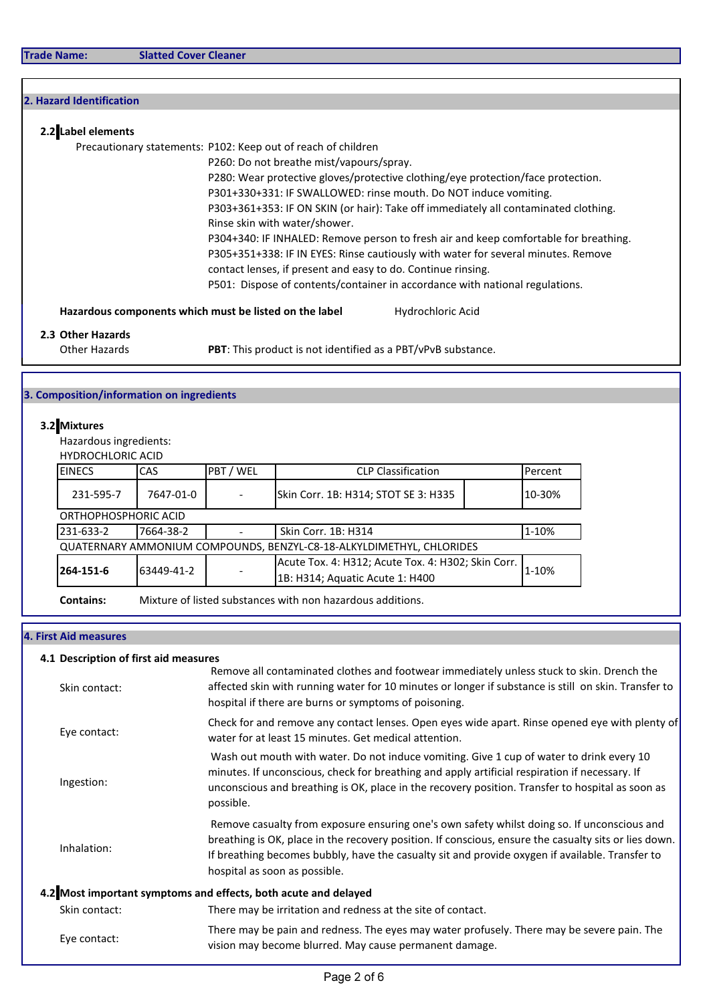| 2. Hazard Identification                  |                          |     |                                                               |                                                                                      |         |
|-------------------------------------------|--------------------------|-----|---------------------------------------------------------------|--------------------------------------------------------------------------------------|---------|
| 2.2 Label elements                        |                          |     |                                                               |                                                                                      |         |
|                                           |                          |     | Precautionary statements: P102: Keep out of reach of children |                                                                                      |         |
|                                           |                          |     |                                                               | P260: Do not breathe mist/vapours/spray.                                             |         |
|                                           |                          |     |                                                               | P280: Wear protective gloves/protective clothing/eye protection/face protection.     |         |
|                                           |                          |     |                                                               | P301+330+331: IF SWALLOWED: rinse mouth. Do NOT induce vomiting.                     |         |
|                                           |                          |     |                                                               | P303+361+353: IF ON SKIN (or hair): Take off immediately all contaminated clothing.  |         |
|                                           |                          |     | Rinse skin with water/shower.                                 |                                                                                      |         |
|                                           |                          |     |                                                               | P304+340: IF INHALED: Remove person to fresh air and keep comfortable for breathing. |         |
|                                           |                          |     |                                                               | P305+351+338: IF IN EYES: Rinse cautiously with water for several minutes. Remove    |         |
|                                           |                          |     |                                                               | contact lenses, if present and easy to do. Continue rinsing.                         |         |
|                                           |                          |     |                                                               | P501: Dispose of contents/container in accordance with national regulations.         |         |
|                                           |                          |     | Hazardous components which must be listed on the label        | Hydrochloric Acid                                                                    |         |
| 2.3 Other Hazards                         |                          |     |                                                               |                                                                                      |         |
|                                           | Other Hazards            |     |                                                               | PBT: This product is not identified as a PBT/vPvB substance.                         |         |
|                                           |                          |     |                                                               |                                                                                      |         |
| 3. Composition/information on ingredients |                          |     |                                                               |                                                                                      |         |
| 3.2 Mixtures                              |                          |     |                                                               |                                                                                      |         |
|                                           | Hazardous ingredients:   |     |                                                               |                                                                                      |         |
|                                           | <b>HYDROCHLORIC ACID</b> |     |                                                               |                                                                                      |         |
| <b>EINECS</b>                             |                          | CAS | PBT / WEL                                                     | <b>CLP Classification</b>                                                            | Percent |

| IEINECS<br>CAS<br>PBT / WEL<br><b>CLP</b> Classification                                                                  |           |  | <b>Percent</b>                                             |  |        |
|---------------------------------------------------------------------------------------------------------------------------|-----------|--|------------------------------------------------------------|--|--------|
| 231-595-7                                                                                                                 | 7647-01-0 |  | Skin Corr. 1B: H314; STOT SE 3: H335                       |  | 10-30% |
| ORTHOPHOSPHORIC ACID                                                                                                      |           |  |                                                            |  |        |
| 231-633-2<br>1-10%<br>7664-38-2<br>Skin Corr. 1B: H314                                                                    |           |  |                                                            |  |        |
| QUATERNARY AMMONIUM COMPOUNDS, BENZYL-C8-18-ALKYLDIMETHYL, CHLORIDES                                                      |           |  |                                                            |  |        |
| Acute Tox. 4: H312; Acute Tox. 4: H302; Skin Corr.<br>1-10%<br>264-151-6<br>63449-41-2<br>1B: H314; Aquatic Acute 1: H400 |           |  |                                                            |  |        |
| <b>Contains:</b>                                                                                                          |           |  | Mixture of listed substances with non hazardous additions. |  |        |

# 4. First Aid measures

### 4.1 Description of first aid measures

| Skin contact: | Remove all contaminated clothes and footwear immediately unless stuck to skin. Drench the<br>affected skin with running water for 10 minutes or longer if substance is still on skin. Transfer to<br>hospital if there are burns or symptoms of poisoning.                                                                               |
|---------------|------------------------------------------------------------------------------------------------------------------------------------------------------------------------------------------------------------------------------------------------------------------------------------------------------------------------------------------|
| Eye contact:  | Check for and remove any contact lenses. Open eyes wide apart. Rinse opened eye with plenty of<br>water for at least 15 minutes. Get medical attention.                                                                                                                                                                                  |
| Ingestion:    | Wash out mouth with water. Do not induce vomiting. Give 1 cup of water to drink every 10<br>minutes. If unconscious, check for breathing and apply artificial respiration if necessary. If<br>unconscious and breathing is OK, place in the recovery position. Transfer to hospital as soon as<br>possible.                              |
| Inhalation:   | Remove casualty from exposure ensuring one's own safety whilst doing so. If unconscious and<br>breathing is OK, place in the recovery position. If conscious, ensure the casualty sits or lies down.<br>If breathing becomes bubbly, have the casualty sit and provide oxygen if available. Transfer to<br>hospital as soon as possible. |
|               | 4.2 Most important symptoms and effects, both acute and delayed                                                                                                                                                                                                                                                                          |
| Skin contact: | There may be irritation and redness at the site of contact.                                                                                                                                                                                                                                                                              |
| Eye contact:  | There may be pain and redness. The eyes may water profusely. There may be severe pain. The<br>vision may become blurred. May cause permanent damage.                                                                                                                                                                                     |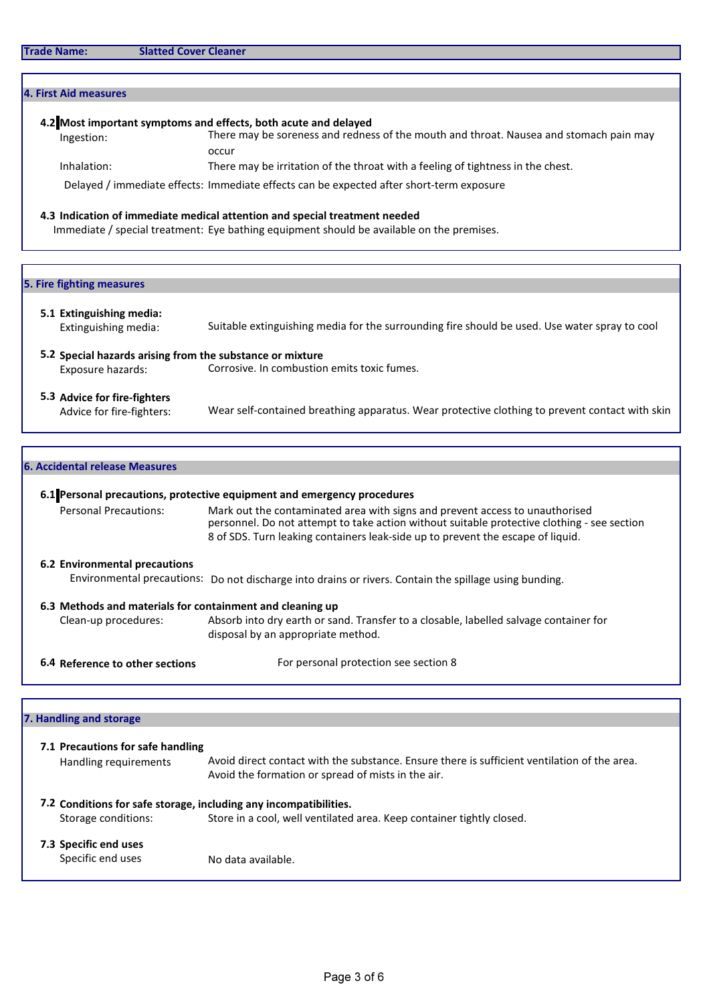| 4. First Aid measures<br>4.2 Most important symptoms and effects, both acute and delayed<br>There may be soreness and redness of the mouth and throat. Nausea and stomach pain may<br>Ingestion:<br>occur<br>Inhalation:<br>There may be irritation of the throat with a feeling of tightness in the chest.<br>Delayed / immediate effects: Immediate effects can be expected after short-term exposure<br>4.3 Indication of immediate medical attention and special treatment needed<br>Immediate / special treatment: Eye bathing equipment should be available on the premises.<br>5. Fire fighting measures<br>5.1 Extinguishing media:<br>Suitable extinguishing media for the surrounding fire should be used. Use water spray to cool<br>Extinguishing media:<br>5.2 Special hazards arising from the substance or mixture<br>Corrosive. In combustion emits toxic fumes.<br>Exposure hazards:<br>5.3 Advice for fire-fighters<br>Advice for fire-fighters:<br><b>6. Accidental release Measures</b> |                                                                                                                                                                                                                                                                                                                                  |
|-------------------------------------------------------------------------------------------------------------------------------------------------------------------------------------------------------------------------------------------------------------------------------------------------------------------------------------------------------------------------------------------------------------------------------------------------------------------------------------------------------------------------------------------------------------------------------------------------------------------------------------------------------------------------------------------------------------------------------------------------------------------------------------------------------------------------------------------------------------------------------------------------------------------------------------------------------------------------------------------------------------|----------------------------------------------------------------------------------------------------------------------------------------------------------------------------------------------------------------------------------------------------------------------------------------------------------------------------------|
|                                                                                                                                                                                                                                                                                                                                                                                                                                                                                                                                                                                                                                                                                                                                                                                                                                                                                                                                                                                                             |                                                                                                                                                                                                                                                                                                                                  |
|                                                                                                                                                                                                                                                                                                                                                                                                                                                                                                                                                                                                                                                                                                                                                                                                                                                                                                                                                                                                             |                                                                                                                                                                                                                                                                                                                                  |
|                                                                                                                                                                                                                                                                                                                                                                                                                                                                                                                                                                                                                                                                                                                                                                                                                                                                                                                                                                                                             |                                                                                                                                                                                                                                                                                                                                  |
|                                                                                                                                                                                                                                                                                                                                                                                                                                                                                                                                                                                                                                                                                                                                                                                                                                                                                                                                                                                                             |                                                                                                                                                                                                                                                                                                                                  |
|                                                                                                                                                                                                                                                                                                                                                                                                                                                                                                                                                                                                                                                                                                                                                                                                                                                                                                                                                                                                             |                                                                                                                                                                                                                                                                                                                                  |
|                                                                                                                                                                                                                                                                                                                                                                                                                                                                                                                                                                                                                                                                                                                                                                                                                                                                                                                                                                                                             |                                                                                                                                                                                                                                                                                                                                  |
|                                                                                                                                                                                                                                                                                                                                                                                                                                                                                                                                                                                                                                                                                                                                                                                                                                                                                                                                                                                                             |                                                                                                                                                                                                                                                                                                                                  |
|                                                                                                                                                                                                                                                                                                                                                                                                                                                                                                                                                                                                                                                                                                                                                                                                                                                                                                                                                                                                             |                                                                                                                                                                                                                                                                                                                                  |
|                                                                                                                                                                                                                                                                                                                                                                                                                                                                                                                                                                                                                                                                                                                                                                                                                                                                                                                                                                                                             |                                                                                                                                                                                                                                                                                                                                  |
|                                                                                                                                                                                                                                                                                                                                                                                                                                                                                                                                                                                                                                                                                                                                                                                                                                                                                                                                                                                                             |                                                                                                                                                                                                                                                                                                                                  |
|                                                                                                                                                                                                                                                                                                                                                                                                                                                                                                                                                                                                                                                                                                                                                                                                                                                                                                                                                                                                             | Wear self-contained breathing apparatus. Wear protective clothing to prevent contact with skin                                                                                                                                                                                                                                   |
|                                                                                                                                                                                                                                                                                                                                                                                                                                                                                                                                                                                                                                                                                                                                                                                                                                                                                                                                                                                                             |                                                                                                                                                                                                                                                                                                                                  |
|                                                                                                                                                                                                                                                                                                                                                                                                                                                                                                                                                                                                                                                                                                                                                                                                                                                                                                                                                                                                             |                                                                                                                                                                                                                                                                                                                                  |
|                                                                                                                                                                                                                                                                                                                                                                                                                                                                                                                                                                                                                                                                                                                                                                                                                                                                                                                                                                                                             |                                                                                                                                                                                                                                                                                                                                  |
|                                                                                                                                                                                                                                                                                                                                                                                                                                                                                                                                                                                                                                                                                                                                                                                                                                                                                                                                                                                                             | 6.1 Personal precautions, protective equipment and emergency procedures<br>$\blacksquare$ . The construction of $\blacksquare$ . In the construction of the contribution of the construction of $\blacksquare$ . The construction of the construction of the construction of the construction of the construction of the constru |

Personal Precautions: Mark out the contaminated area with signs and prevent access to unauthorised personnel. Do not attempt to take action without suitable protective clothing - see section 8 of SDS. Turn leaking containers leak-side up to prevent the escape of liquid.

#### 6.2 Environmental precautions

Environmental precautions: Do not discharge into drains or rivers. Contain the spillage using bunding.

6.3 Methods and materials for containment and cleaning up

Clean-up procedures: Absorb into dry earth or sand. Transfer to a closable, labelled salvage container for disposal by an appropriate method.

6.4 Reference to other sections For personal protection see section 8

#### 7. Handling and storage

| 7.1 Precautions for safe handling<br>Handling requirements | Avoid direct contact with the substance. Ensure there is sufficient ventilation of the area.                                                                                                     |
|------------------------------------------------------------|--------------------------------------------------------------------------------------------------------------------------------------------------------------------------------------------------|
| Storage conditions:                                        | Avoid the formation or spread of mists in the air.<br>7.2 Conditions for safe storage, including any incompatibilities.<br>Store in a cool, well ventilated area. Keep container tightly closed. |
| 7.3 Specific end uses<br>Specific end uses                 | No data available.                                                                                                                                                                               |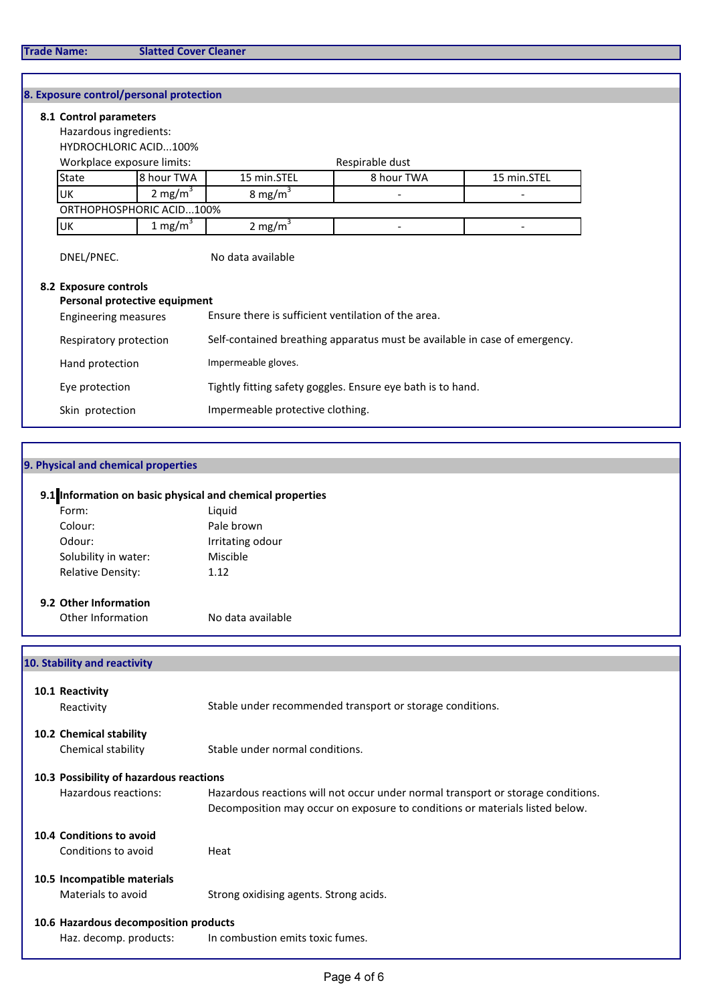# 8. Exposure control/personal protection

| 8.1 Control parameters      |                               |                                                                            |                 |             |  |
|-----------------------------|-------------------------------|----------------------------------------------------------------------------|-----------------|-------------|--|
| Hazardous ingredients:      |                               |                                                                            |                 |             |  |
|                             | <b>HYDROCHLORIC ACID100%</b>  |                                                                            |                 |             |  |
|                             | Workplace exposure limits:    |                                                                            | Respirable dust |             |  |
| <b>State</b>                | 8 hour TWA                    | 15 min.STEL                                                                | 8 hour TWA      | 15 min.STEL |  |
| UK                          | 2 mg/m $3$                    | 8 mg/m <sup>3</sup>                                                        |                 |             |  |
|                             | ORTHOPHOSPHORIC ACID100%      |                                                                            |                 |             |  |
| UK                          | 1 mg/m $3$                    | 2 mg/m $3$                                                                 |                 |             |  |
| 8.2 Exposure controls       | Personal protective equipment |                                                                            |                 |             |  |
| <b>Engineering measures</b> |                               | Ensure there is sufficient ventilation of the area.                        |                 |             |  |
| Respiratory protection      |                               | Self-contained breathing apparatus must be available in case of emergency. |                 |             |  |
| Hand protection             |                               | Impermeable gloves.                                                        |                 |             |  |
| Eye protection              |                               | Tightly fitting safety goggles. Ensure eye bath is to hand.                |                 |             |  |
| Skin protection             |                               | Impermeable protective clothing.                                           |                 |             |  |

# 9. Physical and chemical properties

# 9.1 Information on basic physical and chemical properties

| Form:                | Liguid           |
|----------------------|------------------|
| Colour:              | Pale brown       |
| Odour:               | Irritating odour |
| Solubility in water: | Miscible         |
| Relative Density:    | 1.12             |
|                      |                  |

# 9.2 Other Information

Other Information No data available

# 10. Stability and reactivity

| 10.1 Reactivity<br>Reactivity                 | Stable under recommended transport or storage conditions.                                                                                                        |
|-----------------------------------------------|------------------------------------------------------------------------------------------------------------------------------------------------------------------|
| 10.2 Chemical stability<br>Chemical stability | Stable under normal conditions.                                                                                                                                  |
| 10.3 Possibility of hazardous reactions       |                                                                                                                                                                  |
| Hazardous reactions:                          | Hazardous reactions will not occur under normal transport or storage conditions.<br>Decomposition may occur on exposure to conditions or materials listed below. |
| 10.4 Conditions to avoid                      |                                                                                                                                                                  |
| Conditions to avoid                           | Heat                                                                                                                                                             |
| 10.5 Incompatible materials                   |                                                                                                                                                                  |
| Materials to avoid                            | Strong oxidising agents. Strong acids.                                                                                                                           |
| 10.6 Hazardous decomposition products         |                                                                                                                                                                  |
| Haz. decomp. products:                        | In combustion emits toxic fumes.                                                                                                                                 |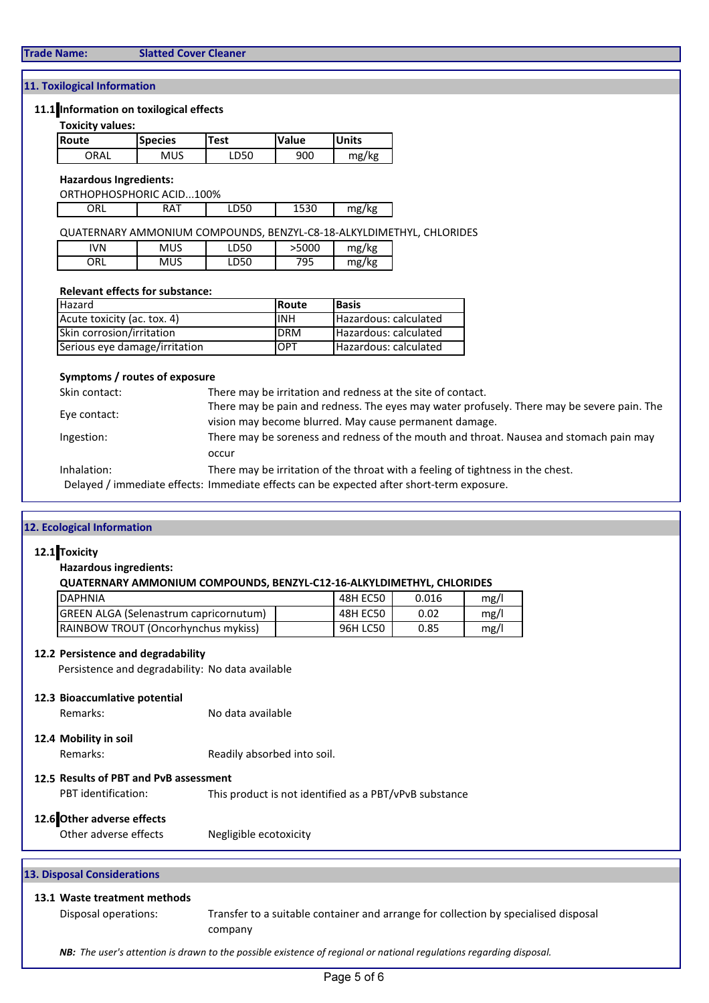### 11. Toxilogical Information

#### 11.1 Information on toxilogical effects

#### Toxicity values:

| Route | <b>Species</b> | Test | <b>Value</b> | <b>Units</b> |
|-------|----------------|------|--------------|--------------|
| ORAL  | MUS            | LD50 | 900          | mg/kg        |

#### Hazardous Ingredients:

ORTHOPHOSPHORIC ACID...100%

| ORL | $A\Delta$<br><b>In</b> | LD50 | 1530 | mg/kg |
|-----|------------------------|------|------|-------|
|-----|------------------------|------|------|-------|

### QUATERNARY AMMONIUM COMPOUNDS, BENZYL-C8-18-ALKYLDIMETHYL, CHLORIDES

| IVN | <b>MUS</b> | <b>DEO</b><br>ּטכע. | >5000 | $m\sigma/k\sigma$<br>היי |
|-----|------------|---------------------|-------|--------------------------|
| JRL | MUS        | ∼ רח<br>— ∪د ب      | '95   | 'Ika<br>mø<br>           |

#### Relevant effects for substance:

| <b>Hazard</b>                    | <b>Route</b> | <b>Basis</b>          |
|----------------------------------|--------------|-----------------------|
| Acute toxicity (ac. tox. 4)      | <b>INH</b>   | Hazardous: calculated |
| <b>Skin corrosion/irritation</b> | <b>DRM</b>   | Hazardous: calculated |
| Serious eye damage/irritation    | <b>IOPT</b>  | Hazardous: calculated |

#### Symptoms / routes of exposure

| Skin contact: | There may be irritation and redness at the site of contact.                                |
|---------------|--------------------------------------------------------------------------------------------|
|               | There may be pain and redness. The eyes may water profusely. There may be severe pain. The |
| Eye contact:  | vision may become blurred. May cause permanent damage.                                     |
| Ingestion:    | There may be soreness and redness of the mouth and throat. Nausea and stomach pain may     |
|               | occur                                                                                      |
| Inhalation:   | There may be irritation of the throat with a feeling of tightness in the chest.            |
|               | Delayed / immediate effects: Immediate effects can be expected after short-term exposure.  |

### 12. Ecological Information

#### 12.1 Toxicity

Hazardous ingredients:

#### QUATERNARY AMMONIUM COMPOUNDS, BENZYL-C12-16-ALKYLDIMETHYL, CHLORIDES

| <b>IDAPHNIA</b>                               | 48H EC50 | 0.016 | mg/l |
|-----------------------------------------------|----------|-------|------|
| <b>GREEN ALGA (Selenastrum capricornutum)</b> | 48H EC50 | 0.02  | mg/l |
| <b>IRAINBOW TROUT (Oncorhynchus mykiss)</b>   | 96H LC50 | 0.85  | mg/l |

#### 12.2 Persistence and degradability

Persistence and degradability: No data available

#### 12.3 Bioaccumlative potential

Remarks: No data available

# 12.4 Mobility in soil

Remarks: Readily absorbed into soil.

#### 12.5 Results of PBT and PvB assessment

PBT identification: This product is not identified as a PBT/vPvB substance

### 12.6 Other adverse effects

Other adverse effects Megligible ecotoxicity

### 13. Disposal Considerations

# 13.1 Waste treatment methods

Disposal operations: Transfer to a suitable container and arrange for collection by specialised disposal company

NB: The user's attention is drawn to the possible existence of regional or national regulations regarding disposal.